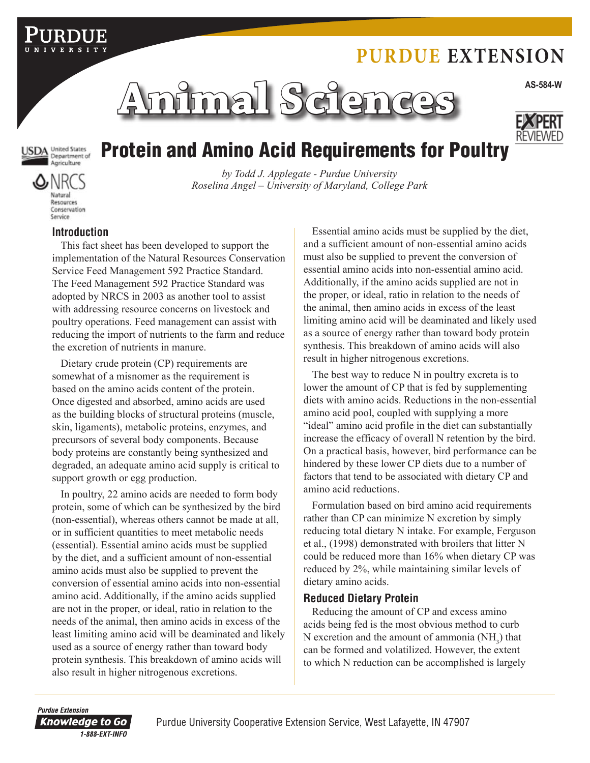# **Purdue Extension**



REVIEWE

### **SDA** United States Agriculture

# Protein and Amino Acid Requirements for Poultry

**NR** Natural Resources Conservation

Service

### *by Todd J. Applegate - Purdue University Roselina Angel – University of Maryland, College Park*

### **Introduction**

This fact sheet has been developed to support the implementation of the Natural Resources Conservation Service Feed Management 592 Practice Standard. The Feed Management 592 Practice Standard was adopted by NRCS in 2003 as another tool to assist with addressing resource concerns on livestock and poultry operations. Feed management can assist with reducing the import of nutrients to the farm and reduce the excretion of nutrients in manure.

Dietary crude protein (CP) requirements are somewhat of a misnomer as the requirement is based on the amino acids content of the protein. Once digested and absorbed, amino acids are used as the building blocks of structural proteins (muscle, skin, ligaments), metabolic proteins, enzymes, and precursors of several body components. Because body proteins are constantly being synthesized and degraded, an adequate amino acid supply is critical to support growth or egg production.

In poultry, 22 amino acids are needed to form body protein, some of which can be synthesized by the bird (non-essential), whereas others cannot be made at all, or in sufficient quantities to meet metabolic needs (essential). Essential amino acids must be supplied by the diet, and a sufficient amount of non-essential amino acids must also be supplied to prevent the conversion of essential amino acids into non-essential amino acid. Additionally, if the amino acids supplied are not in the proper, or ideal, ratio in relation to the needs of the animal, then amino acids in excess of the least limiting amino acid will be deaminated and likely used as a source of energy rather than toward body protein synthesis. This breakdown of amino acids will also result in higher nitrogenous excretions.

Essential amino acids must be supplied by the diet, and a sufficient amount of non-essential amino acids must also be supplied to prevent the conversion of essential amino acids into non-essential amino acid. Additionally, if the amino acids supplied are not in the proper, or ideal, ratio in relation to the needs of the animal, then amino acids in excess of the least limiting amino acid will be deaminated and likely used as a source of energy rather than toward body protein synthesis. This breakdown of amino acids will also result in higher nitrogenous excretions.

The best way to reduce N in poultry excreta is to lower the amount of CP that is fed by supplementing diets with amino acids. Reductions in the non-essential amino acid pool, coupled with supplying a more "ideal" amino acid profile in the diet can substantially increase the efficacy of overall N retention by the bird. On a practical basis, however, bird performance can be hindered by these lower CP diets due to a number of factors that tend to be associated with dietary CP and amino acid reductions.

Formulation based on bird amino acid requirements rather than CP can minimize N excretion by simply reducing total dietary N intake. For example, Ferguson et al., (1998) demonstrated with broilers that litter N could be reduced more than 16% when dietary CP was reduced by 2%, while maintaining similar levels of dietary amino acids.

### **Reduced Dietary Protein**

Reducing the amount of CP and excess amino acids being fed is the most obvious method to curb N excretion and the amount of ammonia  $(NH_3)$  that can be formed and volatilized. However, the extent to which N reduction can be accomplished is largely

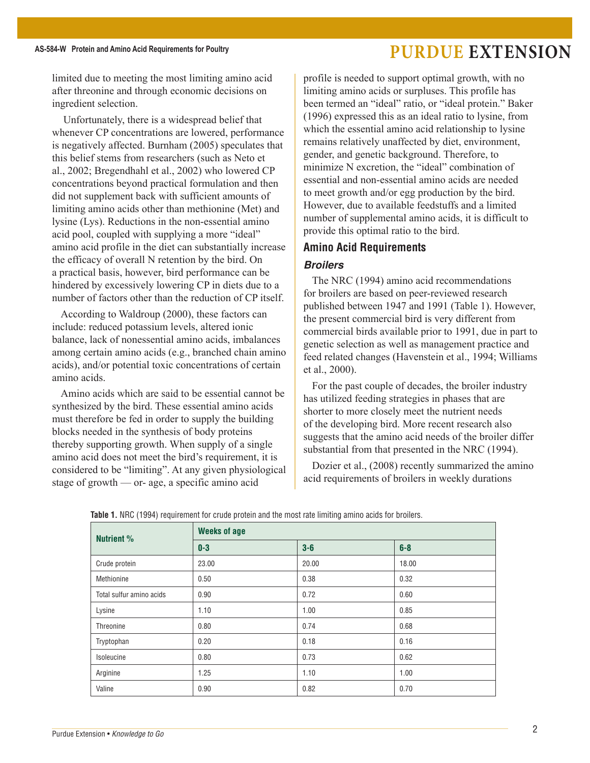### AS-584-W Protein and Amino Acid Requirements for Poultry **FILL EXTENSION**

limited due to meeting the most limiting amino acid after threonine and through economic decisions on ingredient selection.

 Unfortunately, there is a widespread belief that whenever CP concentrations are lowered, performance is negatively affected. Burnham (2005) speculates that this belief stems from researchers (such as Neto et al., 2002; Bregendhahl et al., 2002) who lowered CP concentrations beyond practical formulation and then did not supplement back with sufficient amounts of limiting amino acids other than methionine (Met) and lysine (Lys). Reductions in the non-essential amino acid pool, coupled with supplying a more "ideal" amino acid profile in the diet can substantially increase the efficacy of overall N retention by the bird. On a practical basis, however, bird performance can be hindered by excessively lowering CP in diets due to a number of factors other than the reduction of CP itself.

According to Waldroup (2000), these factors can include: reduced potassium levels, altered ionic balance, lack of nonessential amino acids, imbalances among certain amino acids (e.g., branched chain amino acids), and/or potential toxic concentrations of certain amino acids.

Amino acids which are said to be essential cannot be synthesized by the bird. These essential amino acids must therefore be fed in order to supply the building blocks needed in the synthesis of body proteins thereby supporting growth. When supply of a single amino acid does not meet the bird's requirement, it is considered to be "limiting". At any given physiological stage of growth — or- age, a specific amino acid

profile is needed to support optimal growth, with no limiting amino acids or surpluses. This profile has been termed an "ideal" ratio, or "ideal protein." Baker (1996) expressed this as an ideal ratio to lysine, from which the essential amino acid relationship to lysine remains relatively unaffected by diet, environment, gender, and genetic background. Therefore, to minimize N excretion, the "ideal" combination of essential and non-essential amino acids are needed to meet growth and/or egg production by the bird. However, due to available feedstuffs and a limited number of supplemental amino acids, it is difficult to provide this optimal ratio to the bird.

### **Amino Acid Requirements**

### *Broilers*

The NRC (1994) amino acid recommendations for broilers are based on peer-reviewed research published between 1947 and 1991 (Table 1). However, the present commercial bird is very different from commercial birds available prior to 1991, due in part to genetic selection as well as management practice and feed related changes (Havenstein et al., 1994; Williams et al., 2000).

For the past couple of decades, the broiler industry has utilized feeding strategies in phases that are shorter to more closely meet the nutrient needs of the developing bird. More recent research also suggests that the amino acid needs of the broiler differ substantial from that presented in the NRC (1994).

Dozier et al., (2008) recently summarized the amino acid requirements of broilers in weekly durations

| <b>Nutrient %</b>        | <b>Weeks of age</b> |       |       |  |  |
|--------------------------|---------------------|-------|-------|--|--|
|                          | $0-3$               | $3-6$ | $6-8$ |  |  |
| Crude protein            | 23.00               | 20.00 | 18.00 |  |  |
| Methionine               | 0.50                | 0.38  | 0.32  |  |  |
| Total sulfur amino acids | 0.90                | 0.72  | 0.60  |  |  |
| Lysine                   | 1.10                | 1.00  | 0.85  |  |  |
| Threonine                | 0.80                | 0.74  | 0.68  |  |  |
| Tryptophan               | 0.20                | 0.18  | 0.16  |  |  |
| Isoleucine               | 0.80                | 0.73  | 0.62  |  |  |
| Arginine                 | 1.25                | 1.10  | 1.00  |  |  |
| Valine                   | 0.90                | 0.82  | 0.70  |  |  |

**Table 1.** NRC (1994) requirement for crude protein and the most rate limiting amino acids for broilers.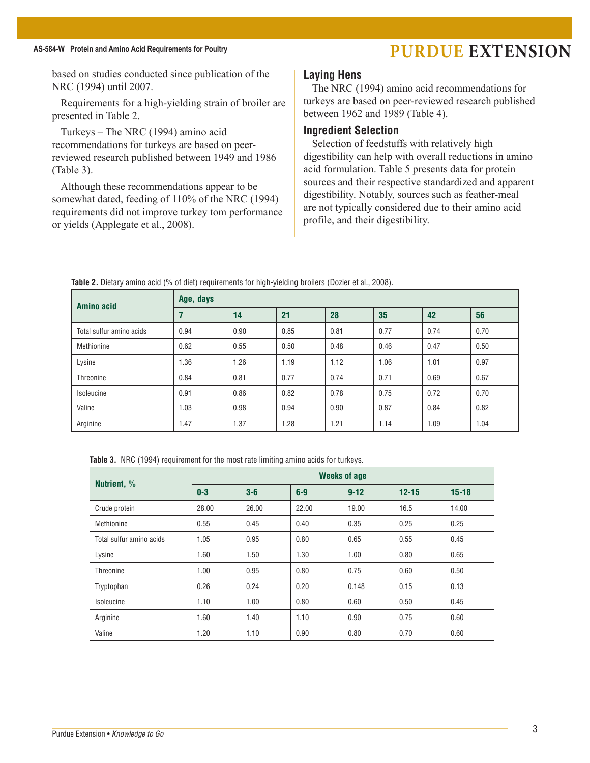### AS-584-W Protein and Amino Acid Requirements for Poultry **PURDUE EXTENSION**

based on studies conducted since publication of the NRC (1994) until 2007.

Requirements for a high-yielding strain of broiler are presented in Table 2.

Turkeys – The NRC (1994) amino acid recommendations for turkeys are based on peerreviewed research published between 1949 and 1986 (Table 3).

Although these recommendations appear to be somewhat dated, feeding of 110% of the NRC (1994) requirements did not improve turkey tom performance or yields (Applegate et al., 2008).

#### **Laying Hens**

The NRC (1994) amino acid recommendations for turkeys are based on peer-reviewed research published between 1962 and 1989 (Table 4).

#### **Ingredient Selection**

Selection of feedstuffs with relatively high digestibility can help with overall reductions in amino acid formulation. Table 5 presents data for protein sources and their respective standardized and apparent digestibility. Notably, sources such as feather-meal are not typically considered due to their amino acid profile, and their digestibility.

| <b>Amino acid</b>        | Age, days |      |      |      |      |      |      |
|--------------------------|-----------|------|------|------|------|------|------|
|                          | 7         | 14   | 21   | 28   | 35   | 42   | 56   |
| Total sulfur amino acids | 0.94      | 0.90 | 0.85 | 0.81 | 0.77 | 0.74 | 0.70 |
| Methionine               | 0.62      | 0.55 | 0.50 | 0.48 | 0.46 | 0.47 | 0.50 |
| Lysine                   | 1.36      | 1.26 | 1.19 | 1.12 | 1.06 | 1.01 | 0.97 |
| <b>Threonine</b>         | 0.84      | 0.81 | 0.77 | 0.74 | 0.71 | 0.69 | 0.67 |
| Isoleucine               | 0.91      | 0.86 | 0.82 | 0.78 | 0.75 | 0.72 | 0.70 |
| Valine                   | 1.03      | 0.98 | 0.94 | 0.90 | 0.87 | 0.84 | 0.82 |
| Arginine                 | 1.47      | 1.37 | 1.28 | 1.21 | 1.14 | 1.09 | 1.04 |

**Table 2.** Dietary amino acid (% of diet) requirements for high-yielding broilers (Dozier et al., 2008).

**Table 3.** NRC (1994) requirement for the most rate limiting amino acids for turkeys.

| Nutrient, %              | <b>Weeks of age</b> |       |       |          |           |           |  |
|--------------------------|---------------------|-------|-------|----------|-----------|-----------|--|
|                          | $0 - 3$             | $3-6$ | $6-9$ | $9 - 12$ | $12 - 15$ | $15 - 18$ |  |
| Crude protein            | 28.00               | 26.00 | 22.00 | 19.00    | 16.5      | 14.00     |  |
| Methionine               | 0.55                | 0.45  | 0.40  | 0.35     | 0.25      | 0.25      |  |
| Total sulfur amino acids | 1.05                | 0.95  | 0.80  | 0.65     | 0.55      | 0.45      |  |
| Lysine                   | 1.60                | 1.50  | 1.30  | 1.00     | 0.80      | 0.65      |  |
| Threonine                | 1.00                | 0.95  | 0.80  | 0.75     | 0.60      | 0.50      |  |
| Tryptophan               | 0.26                | 0.24  | 0.20  | 0.148    | 0.15      | 0.13      |  |
| Isoleucine               | 1.10                | 1.00  | 0.80  | 0.60     | 0.50      | 0.45      |  |
| Arginine                 | 1.60                | 1.40  | 1.10  | 0.90     | 0.75      | 0.60      |  |
| Valine                   | 1.20                | 1.10  | 0.90  | 0.80     | 0.70      | 0.60      |  |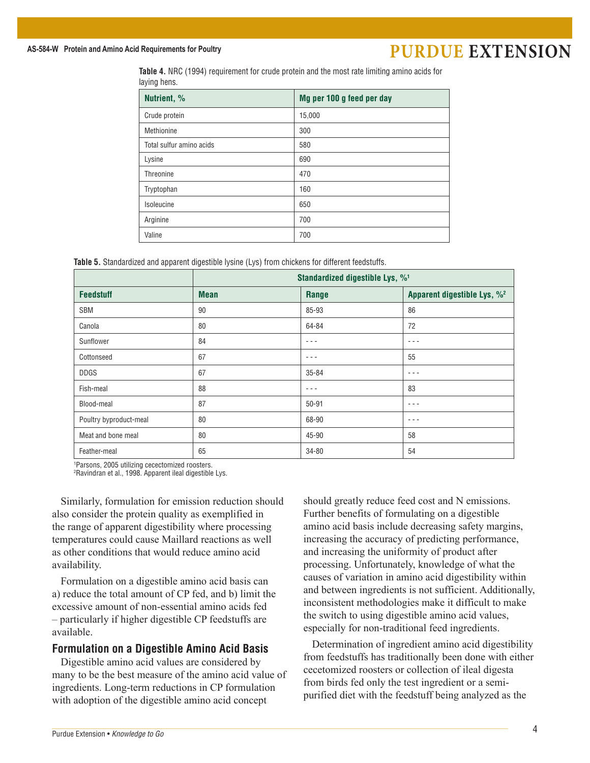### AS-584-W Protein and Amino Acid Requirements for Poultry **PURDUE EXTENSION**

**Table 4.** NRC (1994) requirement for crude protein and the most rate limiting amino acids for laying hens.

| Nutrient, %              | Mg per 100 g feed per day |
|--------------------------|---------------------------|
| Crude protein            | 15,000                    |
| Methionine               | 300                       |
| Total sulfur amino acids | 580                       |
| Lysine                   | 690                       |
| Threonine                | 470                       |
| Tryptophan               | 160                       |
| Isoleucine               | 650                       |
| Arginine                 | 700                       |
| Valine                   | 700                       |

**Table 5.** Standardized and apparent digestible lysine (Lys) from chickens for different feedstuffs.

|                        | Standardized digestible Lys, % <sup>1</sup> |           |                                         |  |
|------------------------|---------------------------------------------|-----------|-----------------------------------------|--|
| <b>Feedstuff</b>       | <b>Mean</b>                                 | Range     | Apparent digestible Lys, % <sup>2</sup> |  |
| <b>SBM</b>             | 90                                          | 85-93     | 86                                      |  |
| Canola                 | 80                                          | 64-84     | 72                                      |  |
| Sunflower              | 84                                          | $- - -$   | $- - -$                                 |  |
| Cottonseed             | 67                                          | $- - -$   | 55                                      |  |
| <b>DDGS</b>            | 67                                          | $35 - 84$ | $- - -$                                 |  |
| Fish-meal              | 88                                          | $- - -$   | 83                                      |  |
| Blood-meal             | 87                                          | $50 - 91$ | $- - -$                                 |  |
| Poultry byproduct-meal | 80                                          | 68-90     | $- - -$                                 |  |
| Meat and bone meal     | 80                                          | 45-90     | 58                                      |  |
| Feather-meal           | 65                                          | 34-80     | 54                                      |  |

1 Parsons, 2005 utilizing cecectomized roosters.

2 Ravindran et al., 1998. Apparent ileal digestible Lys.

Similarly, formulation for emission reduction should also consider the protein quality as exemplified in the range of apparent digestibility where processing temperatures could cause Maillard reactions as well as other conditions that would reduce amino acid availability.

Formulation on a digestible amino acid basis can a) reduce the total amount of CP fed, and b) limit the excessive amount of non-essential amino acids fed – particularly if higher digestible CP feedstuffs are available.

#### **Formulation on a Digestible Amino Acid Basis**

Digestible amino acid values are considered by many to be the best measure of the amino acid value of ingredients. Long-term reductions in CP formulation with adoption of the digestible amino acid concept

should greatly reduce feed cost and N emissions. Further benefits of formulating on a digestible amino acid basis include decreasing safety margins, increasing the accuracy of predicting performance, and increasing the uniformity of product after processing. Unfortunately, knowledge of what the causes of variation in amino acid digestibility within and between ingredients is not sufficient. Additionally, inconsistent methodologies make it difficult to make the switch to using digestible amino acid values, especially for non-traditional feed ingredients.

Determination of ingredient amino acid digestibility from feedstuffs has traditionally been done with either cecetomized roosters or collection of ileal digesta from birds fed only the test ingredient or a semipurified diet with the feedstuff being analyzed as the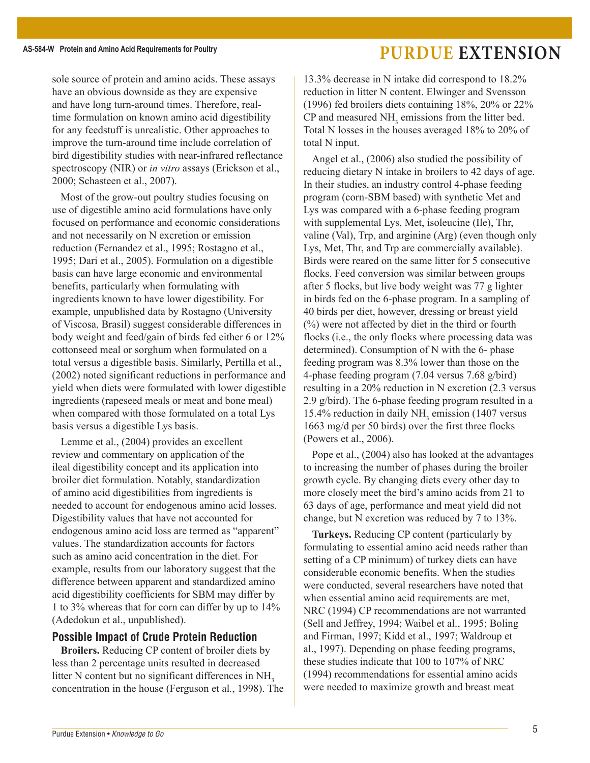### **AS-584-W Protein and Amino Acid Requirements for Poultry Purdue Extension**

sole source of protein and amino acids. These assays have an obvious downside as they are expensive and have long turn-around times. Therefore, realtime formulation on known amino acid digestibility for any feedstuff is unrealistic. Other approaches to improve the turn-around time include correlation of bird digestibility studies with near-infrared reflectance spectroscopy (NIR) or *in vitro* assays (Erickson et al., 2000; Schasteen et al., 2007).

Most of the grow-out poultry studies focusing on use of digestible amino acid formulations have only focused on performance and economic considerations and not necessarily on N excretion or emission reduction (Fernandez et al., 1995; Rostagno et al., 1995; Dari et al., 2005). Formulation on a digestible basis can have large economic and environmental benefits, particularly when formulating with ingredients known to have lower digestibility. For example, unpublished data by Rostagno (University of Viscosa, Brasil) suggest considerable differences in body weight and feed/gain of birds fed either 6 or 12% cottonseed meal or sorghum when formulated on a total versus a digestible basis. Similarly, Pertilla et al., (2002) noted significant reductions in performance and yield when diets were formulated with lower digestible ingredients (rapeseed meals or meat and bone meal) when compared with those formulated on a total Lys basis versus a digestible Lys basis.

Lemme et al., (2004) provides an excellent review and commentary on application of the ileal digestibility concept and its application into broiler diet formulation. Notably, standardization of amino acid digestibilities from ingredients is needed to account for endogenous amino acid losses. Digestibility values that have not accounted for endogenous amino acid loss are termed as "apparent" values. The standardization accounts for factors such as amino acid concentration in the diet. For example, results from our laboratory suggest that the difference between apparent and standardized amino acid digestibility coefficients for SBM may differ by 1 to 3% whereas that for corn can differ by up to 14% (Adedokun et al., unpublished).

#### **Possible Impact of Crude Protein Reduction**

**Broilers.** Reducing CP content of broiler diets by less than 2 percentage units resulted in decreased litter  $N$  content but no significant differences in  $NH<sub>3</sub>$ concentration in the house (Ferguson et al*.*, 1998). The 13.3% decrease in N intake did correspond to 18.2% reduction in litter N content. Elwinger and Svensson (1996) fed broilers diets containing 18%, 20% or 22% CP and measured  $NH<sub>3</sub>$  emissions from the litter bed. Total N losses in the houses averaged 18% to 20% of total N input.

Angel et al., (2006) also studied the possibility of reducing dietary N intake in broilers to 42 days of age. In their studies, an industry control 4-phase feeding program (corn-SBM based) with synthetic Met and Lys was compared with a 6-phase feeding program with supplemental Lys, Met, isoleucine (Ile), Thr, valine (Val), Trp, and arginine (Arg) (even though only Lys, Met, Thr, and Trp are commercially available). Birds were reared on the same litter for 5 consecutive flocks. Feed conversion was similar between groups after 5 flocks, but live body weight was 77 g lighter in birds fed on the 6-phase program. In a sampling of 40 birds per diet, however, dressing or breast yield (%) were not affected by diet in the third or fourth flocks (i.e., the only flocks where processing data was determined). Consumption of N with the 6- phase feeding program was 8.3% lower than those on the 4-phase feeding program (7.04 versus 7.68 g/bird) resulting in a 20% reduction in N excretion (2.3 versus 2.9 g/bird). The 6-phase feeding program resulted in a 15.4% reduction in daily  $NH<sub>3</sub>$  emission (1407 versus 1663 mg/d per 50 birds) over the first three flocks (Powers et al., 2006).

Pope et al., (2004) also has looked at the advantages to increasing the number of phases during the broiler growth cycle. By changing diets every other day to more closely meet the bird's amino acids from 21 to 63 days of age, performance and meat yield did not change, but N excretion was reduced by 7 to 13%.

**Turkeys.** Reducing CP content (particularly by formulating to essential amino acid needs rather than setting of a CP minimum) of turkey diets can have considerable economic benefits. When the studies were conducted, several researchers have noted that when essential amino acid requirements are met, NRC (1994) CP recommendations are not warranted (Sell and Jeffrey, 1994; Waibel et al., 1995; Boling and Firman, 1997; Kidd et al., 1997; Waldroup et al., 1997). Depending on phase feeding programs, these studies indicate that 100 to 107% of NRC (1994) recommendations for essential amino acids were needed to maximize growth and breast meat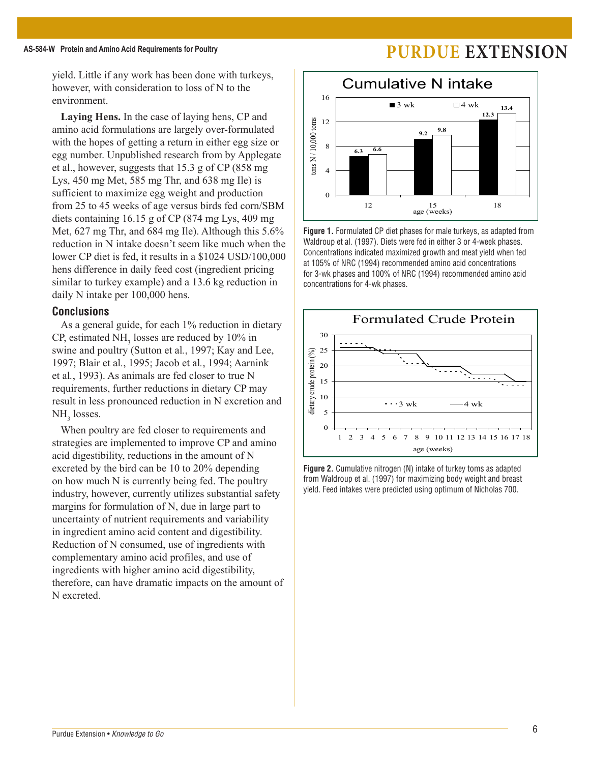## AS-584-W Protein and Amino Acid Requirements for Poultry **Fig. 2.1 Concrements of PURDUE** EXTENSION

yield. Little if any work has been done with turkeys, however, with consideration to loss of N to the environment.

**Laying Hens.** In the case of laying hens, CP and amino acid formulations are largely over-formulated with the hopes of getting a return in either egg size or egg number. Unpublished research from by Applegate et al., however, suggests that 15.3 g of CP (858 mg Lys, 450 mg Met, 585 mg Thr, and 638 mg Ile) is sufficient to maximize egg weight and production from 25 to 45 weeks of age versus birds fed corn/SBM diets containing 16.15 g of CP (874 mg Lys, 409 mg Met, 627 mg Thr, and 684 mg Ile). Although this 5.6% reduction in N intake doesn't seem like much when the lower CP diet is fed, it results in a \$1024 USD/100,000 hens difference in daily feed cost (ingredient pricing similar to turkey example) and a 13.6 kg reduction in daily N intake per 100,000 hens.

### **Conclusions**

As a general guide, for each 1% reduction in dietary CP, estimated  $NH<sub>3</sub>$  losses are reduced by 10% in swine and poultry (Sutton et al*.*, 1997; Kay and Lee, 1997; Blair et al*.*, 1995; Jacob et al*.*, 1994; Aarnink et al*.*, 1993). As animals are fed closer to true N requirements, further reductions in dietary CP may result in less pronounced reduction in N excretion and  $NH<sub>3</sub>$  losses.

When poultry are fed closer to requirements and strategies are implemented to improve CP and amino acid digestibility, reductions in the amount of N excreted by the bird can be 10 to 20% depending on how much N is currently being fed. The poultry industry, however, currently utilizes substantial safety margins for formulation of N, due in large part to uncertainty of nutrient requirements and variability in ingredient amino acid content and digestibility. Reduction of N consumed, use of ingredients with complementary amino acid profiles, and use of ingredients with higher amino acid digestibility, therefore, can have dramatic impacts on the amount of N excreted.



**Figure 1.** Formulated CP diet phases for male turkeys, as adapted from Waldroup et al. (1997). Diets were fed in either 3 or 4-week phases. Concentrations indicated maximized growth and meat yield when fed at 105% of NRC (1994) recommended amino acid concentrations for 3-wk phases and 100% of NRC (1994) recommended amino acid concentrations for 4-wk phases.



**Figure 2.** Cumulative nitrogen (N) intake of turkey toms as adapted from Waldroup et al. (1997) for maximizing body weight and breast yield. Feed intakes were predicted using optimum of Nicholas 700.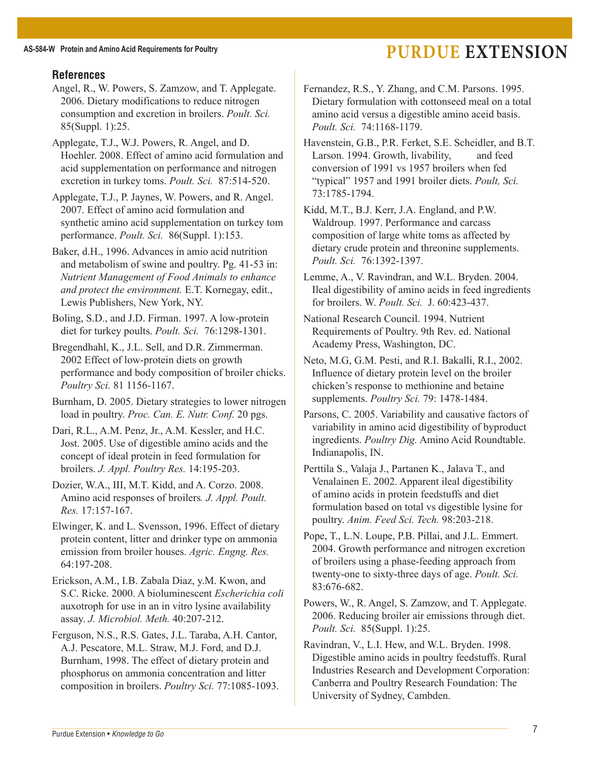### AS-584-W Protein and Amino Acid Requirements for Poultry **FILL EXTENSION**

### **References**

- Angel, R., W. Powers, S. Zamzow, and T. Applegate. 2006. Dietary modifications to reduce nitrogen consumption and excretion in broilers. *Poult. Sci.* 85(Suppl. 1):25.
- Applegate, T.J., W.J. Powers, R. Angel, and D. Hoehler. 2008. Effect of amino acid formulation and acid supplementation on performance and nitrogen excretion in turkey toms. *Poult. Sci.* 87:514-520.
- Applegate, T.J., P. Jaynes, W. Powers, and R. Angel. 2007. Effect of amino acid formulation and synthetic amino acid supplementation on turkey tom performance. *Poult. Sci.* 86(Suppl. 1):153.
- Baker, d.H., 1996. Advances in amio acid nutrition and metabolism of swine and poultry. Pg. 41-53 in: *Nutrient Management of Food Animals to enhance and protect the environment.* E.T. Kornegay, edit., Lewis Publishers, New York, NY.
- Boling, S.D., and J.D. Firman. 1997. A low-protein diet for turkey poults. *Poult. Sci.* 76:1298-1301.
- Bregendhahl, K., J.L. Sell, and D.R. Zimmerman. 2002 Effect of low-protein diets on growth performance and body composition of broiler chicks. *Poultry Sci.* 81 1156-1167.
- Burnham, D. 2005. Dietary strategies to lower nitrogen load in poultry. *Proc. Can. E. Nutr. Conf.* 20 pgs.
- Dari, R.L., A.M. Penz, Jr., A.M. Kessler, and H.C. Jost. 2005. Use of digestible amino acids and the concept of ideal protein in feed formulation for broilers. *J. Appl. Poultry Res.* 14:195-203.
- Dozier, W.A., III, M.T. Kidd, and A. Corzo. 2008. Amino acid responses of broilers*. J. Appl. Poult. Res.* 17:157-167.
- Elwinger, K. and L. Svensson, 1996. Effect of dietary protein content, litter and drinker type on ammonia emission from broiler houses. *Agric. Engng. Res.* 64:197-208.
- Erickson, A.M., I.B. Zabala Diaz, y.M. Kwon, and S.C. Ricke. 2000. A bioluminescent *Escherichia coli* auxotroph for use in an in vitro lysine availability assay. *J. Microbiol. Meth.* 40:207-212.
- Ferguson, N.S., R.S. Gates, J.L. Taraba, A.H. Cantor, A.J. Pescatore, M.L. Straw, M.J. Ford, and D.J. Burnham, 1998. The effect of dietary protein and phosphorus on ammonia concentration and litter composition in broilers. *Poultry Sci.* 77:1085-1093.
- Fernandez, R.S., Y. Zhang, and C.M. Parsons. 1995. Dietary formulation with cottonseed meal on a total amino acid versus a digestible amino aceid basis. *Poult. Sci.* 74:1168-1179.
- Havenstein, G.B., P.R. Ferket, S.E. Scheidler, and B.T. Larson. 1994. Growth, livability, and feed conversion of 1991 vs 1957 broilers when fed "typical" 1957 and 1991 broiler diets. *Poult, Sci.* 73:1785-1794.
- Kidd, M.T., B.J. Kerr, J.A. England, and P.W. Waldroup. 1997. Performance and carcass composition of large white toms as affected by dietary crude protein and threonine supplements. *Poult. Sci.* 76:1392-1397.
- Lemme, A., V. Ravindran, and W.L. Bryden. 2004. Ileal digestibility of amino acids in feed ingredients for broilers. W. *Poult. Sci.* J. 60:423-437.
- National Research Council. 1994. Nutrient Requirements of Poultry. 9th Rev. ed. National Academy Press, Washington, DC.
- Neto, M.G, G.M. Pesti, and R.I. Bakalli, R.I., 2002. Influence of dietary protein level on the broiler chicken's response to methionine and betaine supplements. *Poultry Sci.* 79: 1478-1484.
- Parsons, C. 2005. Variability and causative factors of variability in amino acid digestibility of byproduct ingredients. *Poultry Dig.* Amino Acid Roundtable. Indianapolis, IN.
- Perttila S., Valaja J., Partanen K., Jalava T., and Venalainen E. 2002. Apparent ileal digestibility of amino acids in protein feedstuffs and diet formulation based on total vs digestible lysine for poultry. *Anim. Feed Sci. Tech.* 98:203-218.
- Pope, T., L.N. Loupe, P.B. Pillai, and J.L. Emmert. 2004. Growth performance and nitrogen excretion of broilers using a phase-feeding approach from twenty-one to sixty-three days of age. *Poult. Sci.*  83:676-682.
- Powers, W., R. Angel, S. Zamzow, and T. Applegate. 2006. Reducing broiler air emissions through diet. *Poult. Sci.* 85(Suppl. 1):25.
- Ravindran, V., L.I. Hew, and W.L. Bryden. 1998. Digestible amino acids in poultry feedstuffs. Rural Industries Research and Development Corporation: Canberra and Poultry Research Foundation: The University of Sydney, Cambden.